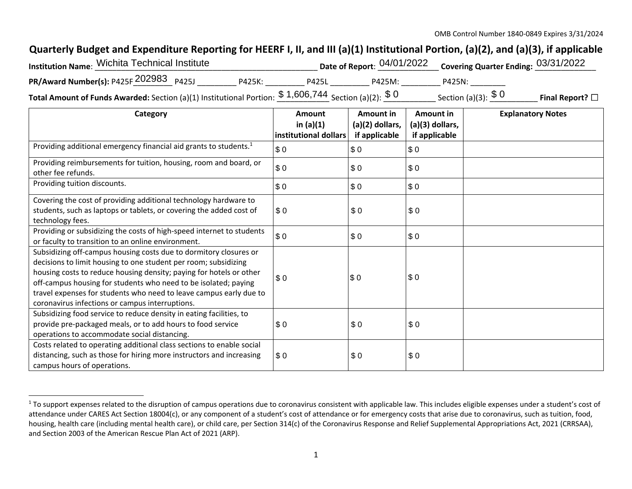## **Quarterly Budget and Expenditure Reporting for HEERF I, II, and III (a)(1) Institutional Portion, (a)(2), and (a)(3), if applicable**

| Institution Name: Wichita Technical Institute                                                                             |        |              |        | Date of Report: $04/01/2022$ Covering Quarter Ending: $03/31/2022$ |                         |
|---------------------------------------------------------------------------------------------------------------------------|--------|--------------|--------|--------------------------------------------------------------------|-------------------------|
| <b>PR/Award Number(s):</b> P425F $202983$ P425J                                                                           | P425K: | <b>P425L</b> | P425M: | P425N:                                                             |                         |
| <b>Total Amount of Funds Awarded:</b> Section (a)(1) Institutional Portion: $\frac{\$~1,606,744~}$ Section (a)(2): $\$~0$ |        |              |        | Section (a)(3): $$0$                                               | Final Report? $\square$ |

| Category                                                                                                                                                                                                                                                                                                                                                                                                | Amount<br>in $(a)(1)$<br>institutional dollars | Amount in<br>(a)(2) dollars,<br>if applicable | Amount in<br>(a)(3) dollars,<br>if applicable | <b>Explanatory Notes</b> |
|---------------------------------------------------------------------------------------------------------------------------------------------------------------------------------------------------------------------------------------------------------------------------------------------------------------------------------------------------------------------------------------------------------|------------------------------------------------|-----------------------------------------------|-----------------------------------------------|--------------------------|
| Providing additional emergency financial aid grants to students. <sup>1</sup>                                                                                                                                                                                                                                                                                                                           | \$0                                            | \$0                                           | \$0                                           |                          |
| Providing reimbursements for tuition, housing, room and board, or<br>other fee refunds.                                                                                                                                                                                                                                                                                                                 | \$0                                            | \$0                                           | \$0                                           |                          |
| Providing tuition discounts.                                                                                                                                                                                                                                                                                                                                                                            | \$0                                            | \$0                                           | \$0                                           |                          |
| Covering the cost of providing additional technology hardware to<br>students, such as laptops or tablets, or covering the added cost of<br>technology fees.                                                                                                                                                                                                                                             | \$0                                            | \$0                                           | \$0                                           |                          |
| Providing or subsidizing the costs of high-speed internet to students<br>or faculty to transition to an online environment.                                                                                                                                                                                                                                                                             | \$0                                            | \$0                                           | \$0                                           |                          |
| Subsidizing off-campus housing costs due to dormitory closures or<br>decisions to limit housing to one student per room; subsidizing<br>housing costs to reduce housing density; paying for hotels or other<br>off-campus housing for students who need to be isolated; paying<br>travel expenses for students who need to leave campus early due to<br>coronavirus infections or campus interruptions. | \$0                                            | \$0                                           | \$0                                           |                          |
| Subsidizing food service to reduce density in eating facilities, to<br>provide pre-packaged meals, or to add hours to food service<br>operations to accommodate social distancing.                                                                                                                                                                                                                      | \$0                                            | \$0                                           | \$0                                           |                          |
| Costs related to operating additional class sections to enable social<br>distancing, such as those for hiring more instructors and increasing<br>campus hours of operations.                                                                                                                                                                                                                            | \$0                                            | \$0                                           | \$0                                           |                          |

<sup>&</sup>lt;sup>1</sup> To support expenses related to the disruption of campus operations due to coronavirus consistent with applicable law. This includes eligible expenses under a student's cost of attendance under CARES Act Section 18004(c), or any component of a student's cost of attendance or for emergency costs that arise due to coronavirus, such as tuition, food, housing, health care (including mental health care), or child care, per Section 314(c) of the Coronavirus Response and Relief Supplemental Appropriations Act, 2021 (CRRSAA), and Section 2003 of the American Rescue Plan Act of 2021 (ARP).